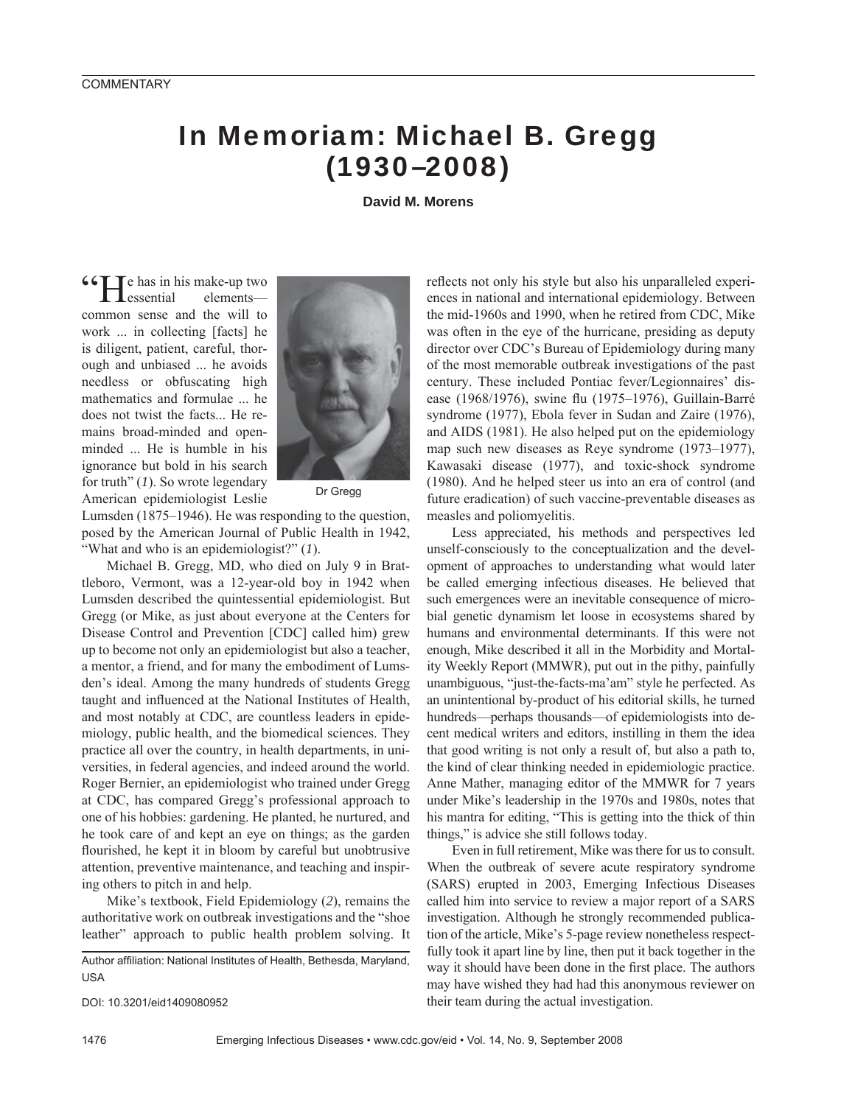## In Memoriam: Michael B. Gregg (1930–2008)

**David M. Morens**

The has in his make-up two<br>essential elements elementscommon sense and the will to work ... in collecting [facts] he is diligent, patient, careful, thorough and unbiased ... he avoids needless or obfuscating high mathematics and formulae ... he does not twist the facts... He remains broad-minded and openminded ... He is humble in his ignorance but bold in his search for truth" (*1*). So wrote legendary American epidemiologist Leslie



Dr Gregg

Lumsden (1875–1946). He was responding to the question, posed by the American Journal of Public Health in 1942, "What and who is an epidemiologist?" (*1*).

Michael B. Gregg, MD, who died on July 9 in Brattleboro, Vermont, was a 12-year-old boy in 1942 when Lumsden described the quintessential epidemiologist. But Gregg (or Mike, as just about everyone at the Centers for Disease Control and Prevention [CDC] called him) grew up to become not only an epidemiologist but also a teacher, a mentor, a friend, and for many the embodiment of Lumsden's ideal. Among the many hundreds of students Gregg taught and influenced at the National Institutes of Health, and most notably at CDC, are countless leaders in epidemiology, public health, and the biomedical sciences. They practice all over the country, in health departments, in universities, in federal agencies, and indeed around the world. Roger Bernier, an epidemiologist who trained under Gregg at CDC, has compared Gregg's professional approach to one of his hobbies: gardening. He planted, he nurtured, and he took care of and kept an eye on things; as the garden flourished, he kept it in bloom by careful but unobtrusive attention, preventive maintenance, and teaching and inspiring others to pitch in and help.

Mike's textbook, Field Epidemiology (*2*), remains the authoritative work on outbreak investigations and the "shoe leather" approach to public health problem solving. It

Author affiliation: National Institutes of Health, Bethesda, Maryland, USA

DOI: 10.3201/eid1409080952

reflects not only his style but also his unparalleled experiences in national and international epidemiology. Between the mid-1960s and 1990, when he retired from CDC, Mike was often in the eye of the hurricane, presiding as deputy director over CDC's Bureau of Epidemiology during many of the most memorable outbreak investigations of the past century. These included Pontiac fever/Legionnaires' disease (1968/1976), swine flu (1975–1976), Guillain-Barré syndrome (1977), Ebola fever in Sudan and Zaire (1976), and AIDS (1981). He also helped put on the epidemiology map such new diseases as Reye syndrome (1973–1977), Kawasaki disease (1977), and toxic-shock syndrome (1980). And he helped steer us into an era of control (and future eradication) of such vaccine-preventable diseases as measles and poliomyelitis.

Less appreciated, his methods and perspectives led unself-consciously to the conceptualization and the development of approaches to understanding what would later be called emerging infectious diseases. He believed that such emergences were an inevitable consequence of microbial genetic dynamism let loose in ecosystems shared by humans and environmental determinants. If this were not enough, Mike described it all in the Morbidity and Mortality Weekly Report (MMWR), put out in the pithy, painfully unambiguous, "just-the-facts-ma'am" style he perfected. As an unintentional by-product of his editorial skills, he turned hundreds—perhaps thousands—of epidemiologists into decent medical writers and editors, instilling in them the idea that good writing is not only a result of, but also a path to, the kind of clear thinking needed in epidemiologic practice. Anne Mather, managing editor of the MMWR for 7 years under Mike's leadership in the 1970s and 1980s, notes that his mantra for editing, "This is getting into the thick of thin things," is advice she still follows today.

Even in full retirement, Mike was there for us to consult. When the outbreak of severe acute respiratory syndrome (SARS) erupted in 2003, Emerging Infectious Diseases called him into service to review a major report of a SARS investigation. Although he strongly recommended publication of the article, Mike's 5-page review nonetheless respectfully took it apart line by line, then put it back together in the way it should have been done in the first place. The authors may have wished they had had this anonymous reviewer on their team during the actual investigation.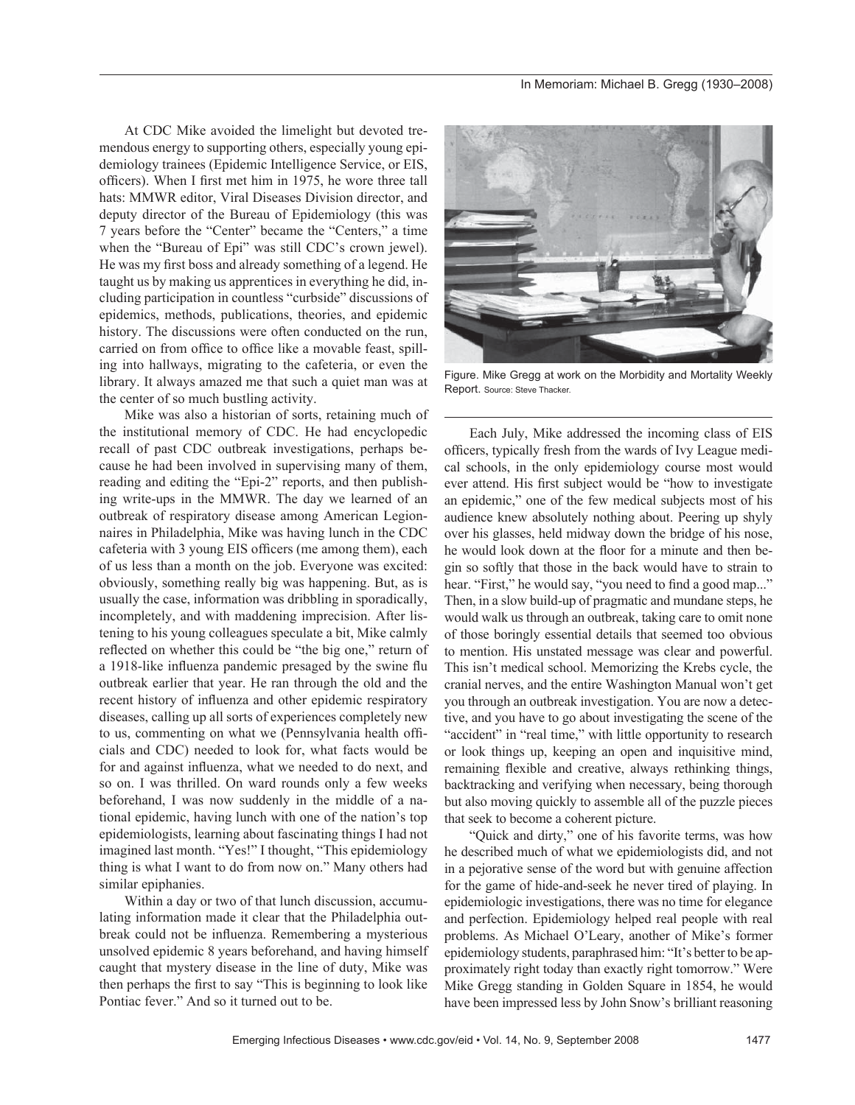At CDC Mike avoided the limelight but devoted tremendous energy to supporting others, especially young epidemiology trainees (Epidemic Intelligence Service, or EIS, officers). When I first met him in 1975, he wore three tall hats: MMWR editor, Viral Diseases Division director, and deputy director of the Bureau of Epidemiology (this was 7 years before the "Center" became the "Centers," a time when the "Bureau of Epi" was still CDC's crown jewel). He was my first boss and already something of a legend. He taught us by making us apprentices in everything he did, including participation in countless "curbside" discussions of epidemics, methods, publications, theories, and epidemic history. The discussions were often conducted on the run, carried on from office to office like a movable feast, spilling into hallways, migrating to the cafeteria, or even the library. It always amazed me that such a quiet man was at the center of so much bustling activity.

Mike was also a historian of sorts, retaining much of the institutional memory of CDC. He had encyclopedic recall of past CDC outbreak investigations, perhaps because he had been involved in supervising many of them, reading and editing the "Epi-2" reports, and then publishing write-ups in the MMWR. The day we learned of an outbreak of respiratory disease among American Legionnaires in Philadelphia, Mike was having lunch in the CDC cafeteria with 3 young EIS officers (me among them), each of us less than a month on the job. Everyone was excited: obviously, something really big was happening. But, as is usually the case, information was dribbling in sporadically, incompletely, and with maddening imprecision. After listening to his young colleagues speculate a bit, Mike calmly reflected on whether this could be "the big one," return of a 1918-like influenza pandemic presaged by the swine flu outbreak earlier that year. He ran through the old and the recent history of influenza and other epidemic respiratory diseases, calling up all sorts of experiences completely new to us, commenting on what we (Pennsylvania health officials and CDC) needed to look for, what facts would be for and against influenza, what we needed to do next, and so on. I was thrilled. On ward rounds only a few weeks beforehand, I was now suddenly in the middle of a national epidemic, having lunch with one of the nation's top epidemiologists, learning about fascinating things I had not imagined last month. "Yes!" I thought, "This epidemiology thing is what I want to do from now on." Many others had similar epiphanies.

Within a day or two of that lunch discussion, accumulating information made it clear that the Philadelphia outbreak could not be influenza. Remembering a mysterious unsolved epidemic 8 years beforehand, and having himself caught that mystery disease in the line of duty, Mike was then perhaps the first to say "This is beginning to look like Pontiac fever." And so it turned out to be.



Figure. Mike Gregg at work on the Morbidity and Mortality Weekly Report. Source: Steve Thacker.

Each July, Mike addressed the incoming class of EIS officers, typically fresh from the wards of Ivy League medical schools, in the only epidemiology course most would ever attend. His first subject would be "how to investigate an epidemic," one of the few medical subjects most of his audience knew absolutely nothing about. Peering up shyly over his glasses, held midway down the bridge of his nose, he would look down at the floor for a minute and then begin so softly that those in the back would have to strain to hear. "First," he would say, "you need to find a good map..." Then, in a slow build-up of pragmatic and mundane steps, he would walk us through an outbreak, taking care to omit none of those boringly essential details that seemed too obvious to mention. His unstated message was clear and powerful. This isn't medical school. Memorizing the Krebs cycle, the cranial nerves, and the entire Washington Manual won't get you through an outbreak investigation. You are now a detective, and you have to go about investigating the scene of the "accident" in "real time," with little opportunity to research or look things up, keeping an open and inquisitive mind, remaining flexible and creative, always rethinking things, backtracking and verifying when necessary, being thorough but also moving quickly to assemble all of the puzzle pieces that seek to become a coherent picture.

"Quick and dirty," one of his favorite terms, was how he described much of what we epidemiologists did, and not in a pejorative sense of the word but with genuine affection for the game of hide-and-seek he never tired of playing. In epidemiologic investigations, there was no time for elegance and perfection. Epidemiology helped real people with real problems. As Michael O'Leary, another of Mike's former epidemiology students, paraphrased him: "It's better to be approximately right today than exactly right tomorrow." Were Mike Gregg standing in Golden Square in 1854, he would have been impressed less by John Snow's brilliant reasoning